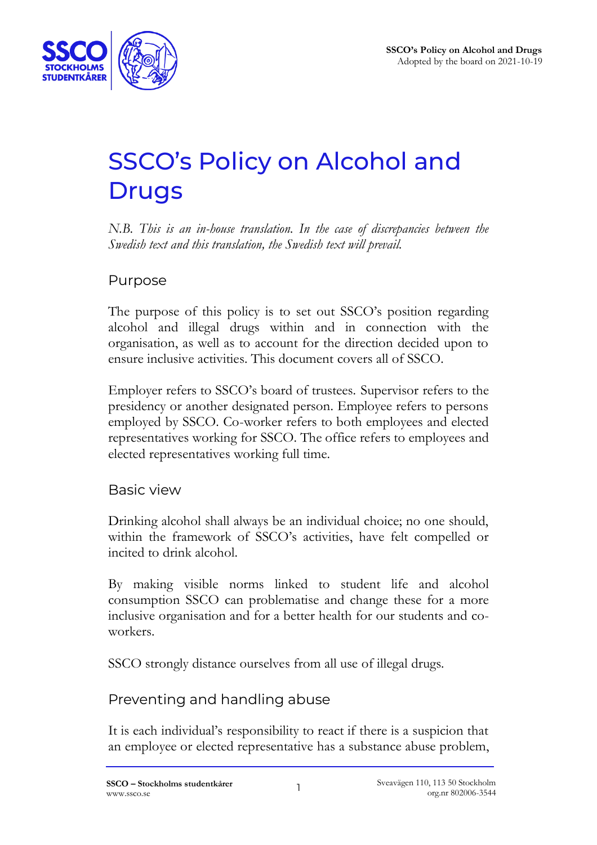

# SSCO's Policy on Alcohol and **Drugs**

*N.B. This is an in-house translation. In the case of discrepancies between the Swedish text and this translation, the Swedish text will prevail.*

#### Purpose

The purpose of this policy is to set out SSCO's position regarding alcohol and illegal drugs within and in connection with the organisation, as well as to account for the direction decided upon to ensure inclusive activities. This document covers all of SSCO.

Employer refers to SSCO's board of trustees. Supervisor refers to the presidency or another designated person. Employee refers to persons employed by SSCO. Co-worker refers to both employees and elected representatives working for SSCO. The office refers to employees and elected representatives working full time.

#### Basic view

Drinking alcohol shall always be an individual choice; no one should, within the framework of SSCO's activities, have felt compelled or incited to drink alcohol.

By making visible norms linked to student life and alcohol consumption SSCO can problematise and change these for a more inclusive organisation and for a better health for our students and coworkers.

SSCO strongly distance ourselves from all use of illegal drugs.

# Preventing and handling abuse

It is each individual's responsibility to react if there is a suspicion that an employee or elected representative has a substance abuse problem,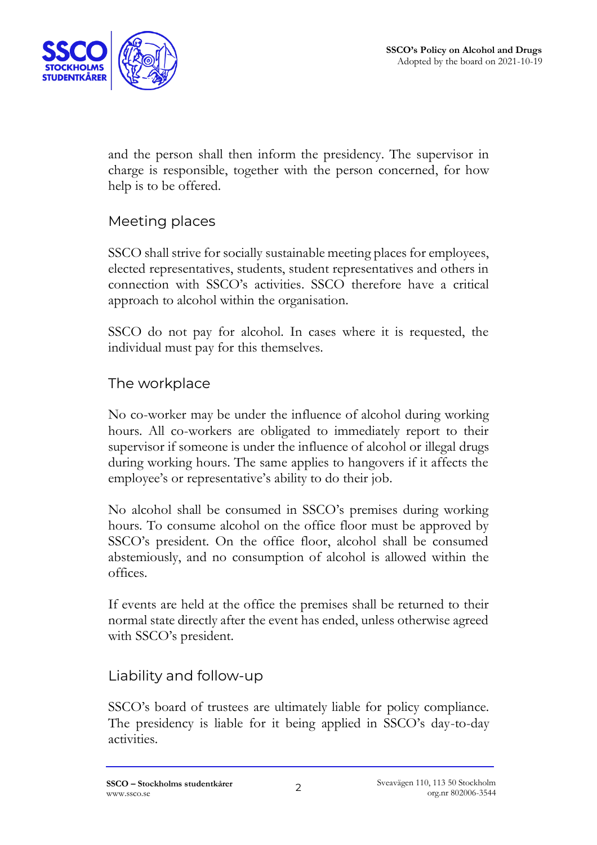

and the person shall then inform the presidency. The supervisor in charge is responsible, together with the person concerned, for how help is to be offered.

# Meeting places

SSCO shall strive for socially sustainable meeting places for employees, elected representatives, students, student representatives and others in connection with SSCO's activities. SSCO therefore have a critical approach to alcohol within the organisation.

SSCO do not pay for alcohol. In cases where it is requested, the individual must pay for this themselves.

## The workplace

No co-worker may be under the influence of alcohol during working hours. All co-workers are obligated to immediately report to their supervisor if someone is under the influence of alcohol or illegal drugs during working hours. The same applies to hangovers if it affects the employee's or representative's ability to do their job.

No alcohol shall be consumed in SSCO's premises during working hours. To consume alcohol on the office floor must be approved by SSCO's president. On the office floor, alcohol shall be consumed abstemiously, and no consumption of alcohol is allowed within the offices.

If events are held at the office the premises shall be returned to their normal state directly after the event has ended, unless otherwise agreed with SSCO's president.

## Liability and follow-up

SSCO's board of trustees are ultimately liable for policy compliance. The presidency is liable for it being applied in SSCO's day-to-day activities.